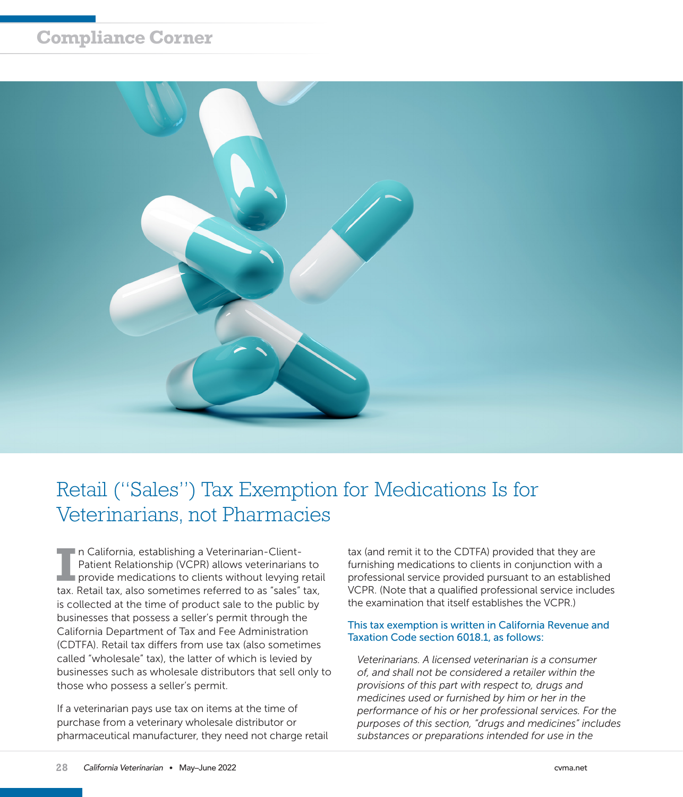## **Compliance Corner**



# Retail ("Sales") Tax Exemption for Medications Is for Veterinarians, not Pharmacies

**I** In California, establishing a Veterinarian-Client-<br>
Patient Relationship (VCPR) allows veterinarians to<br>
provide medications to clients without levying retail<br>
to Patell to the comptimes without levying retail n California, establishing a Veterinarian-Client-Patient Relationship (VCPR) allows veterinarians to tax. Retail tax, also sometimes referred to as "sales" tax, is collected at the time of product sale to the public by businesses that possess a seller's permit through the California Department of Tax and Fee Administration (CDTFA). Retail tax differs from use tax (also sometimes called "wholesale" tax), the latter of which is levied by businesses such as wholesale distributors that sell only to those who possess a seller's permit.

If a veterinarian pays use tax on items at the time of purchase from a veterinary wholesale distributor or pharmaceutical manufacturer, they need not charge retail

tax (and remit it to the CDTFA) provided that they are furnishing medications to clients in conjunction with a professional service provided pursuant to an established VCPR. (Note that a qualified professional service includes the examination that itself establishes the VCPR.)

### This tax exemption is written in California Revenue and Taxation Code section 6018.1, as follows:

*Veterinarians. A licensed veterinarian is a consumer of, and shall not be considered a retailer within the provisions of this part with respect to, drugs and medicines used or furnished by him or her in the performance of his or her professional services. For the purposes of this section, "drugs and medicines" includes substances or preparations intended for use in the*